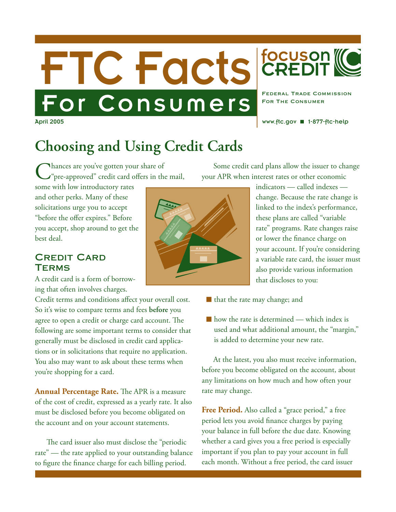# FTC Facts Execusor For Consumer For The Consumer



# **Choosing and Using Credit Cards**

Thances are you've gotten your share of "pre-approved" credit card offers in the mail,

some with low introductory rates and other perks. Many of these solicitations urge you to accept "before the offer expires." Before you accept, shop around to get the best deal.

# Credit Card **TERMS**

A credit card is a form of borrowing that often involves charges.

Credit terms and conditions affect your overall cost. So it's wise to compare terms and fees **before** you agree to open a credit or charge card account. The following are some important terms to consider that generally must be disclosed in credit card applications or in solicitations that require no application. You also may want to ask about these terms when you're shopping for a card.

**Annual Percentage Rate.** The APR is a measure of the cost of credit, expressed as a yearly rate. It also must be disclosed before you become obligated on the account and on your account statements.

The card issuer also must disclose the "periodic rate" — the rate applied to your outstanding balance to figure the finance charge for each billing period.



Some credit card plans allow the issuer to change your APR when interest rates or other economic

For The Consumer

www.ftc.gov ■ 1-877-ftc-help

indicators — called indexes change. Because the rate change is linked to the index's performance, these plans are called "variable rate" programs. Rate changes raise or lower the finance charge on your account. If you're considering a variable rate card, the issuer must also provide various information that discloses to you:

- that the rate may change; and
- $\blacksquare$  how the rate is determined which index is used and what additional amount, the "margin," is added to determine your new rate.

At the latest, you also must receive information, before you become obligated on the account, about any limitations on how much and how often your rate may change.

**Free Period.** Also called a "grace period," a free period lets you avoid finance charges by paying your balance in full before the due date. Knowing whether a card gives you a free period is especially important if you plan to pay your account in full each month. Without a free period, the card issuer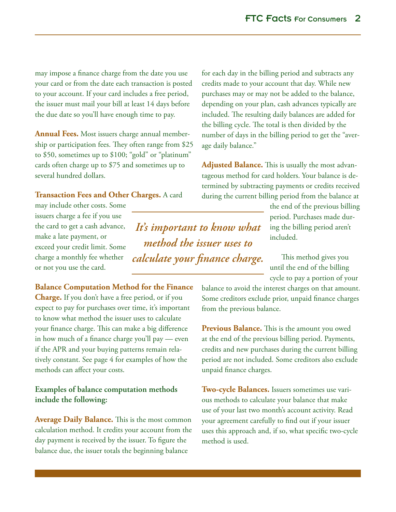may impose a finance charge from the date you use your card or from the date each transaction is posted to your account. If your card includes a free period, the issuer must mail your bill at least 14 days before the due date so you'll have enough time to pay.

**Annual Fees.** Most issuers charge annual membership or participation fees. They often range from \$25 to \$50, sometimes up to \$100; "gold" or "platinum" cards often charge up to \$75 and sometimes up to several hundred dollars.

#### **Transaction Fees and Other Charges.** A card

may include other costs. Some issuers charge a fee if you use the card to get a cash advance, make a late payment, or exceed your credit limit. Some charge a monthly fee whether or not you use the card.

#### **Balance Computation Method for the Finance**

**Charge.** If you don't have a free period, or if you expect to pay for purchases over time, it's important to know what method the issuer uses to calculate your finance charge. This can make a big difference in how much of a finance charge you'll pay — even if the APR and your buying patterns remain relatively constant. See page 4 for examples of how the methods can affect your costs.

### **Examples of balance computation methods include the following:**

**Average Daily Balance.** This is the most common calculation method. It credits your account from the day payment is received by the issuer. To figure the balance due, the issuer totals the beginning balance

for each day in the billing period and subtracts any credits made to your account that day. While new purchases may or may not be added to the balance, depending on your plan, cash advances typically are included. The resulting daily balances are added for the billing cycle. The total is then divided by the number of days in the billing period to get the "average daily balance."

**Adjusted Balance.** This is usually the most advantageous method for card holders. Your balance is determined by subtracting payments or credits received during the current billing period from the balance at

> the end of the previous billing period. Purchases made during the billing period aren't included.

This method gives you until the end of the billing cycle to pay a portion of your

balance to avoid the interest charges on that amount. Some creditors exclude prior, unpaid finance charges from the previous balance.

**Previous Balance.** This is the amount you owed at the end of the previous billing period. Payments, credits and new purchases during the current billing period are not included. Some creditors also exclude unpaid finance charges.

**Two-cycle Balances.** Issuers sometimes use various methods to calculate your balance that make use of your last two month's account activity. Read your agreement carefully to find out if your issuer uses this approach and, if so, what specific two-cycle method is used.

*It's important to know what method the issuer uses to calculate your finance charge.*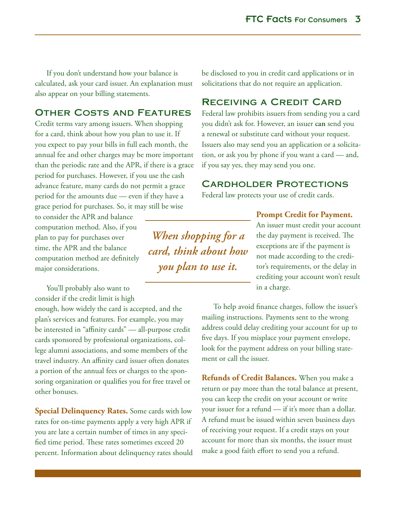If you don't understand how your balance is calculated, ask your card issuer. An explanation must also appear on your billing statements.

# Other Costs and Features

Credit terms vary among issuers. When shopping for a card, think about how you plan to use it. If you expect to pay your bills in full each month, the annual fee and other charges may be more important than the periodic rate and the APR, if there is a grace period for purchases. However, if you use the cash advance feature, many cards do not permit a grace period for the amounts due — even if they have a grace period for purchases. So, it may still be wise

to consider the APR and balance computation method. Also, if you plan to pay for purchases over time, the APR and the balance computation method are definitely major considerations.

You'll probably also want to consider if the credit limit is high

enough, how widely the card is accepted, and the plan's services and features. For example, you may be interested in "affinity cards" — all-purpose credit cards sponsored by professional organizations, college alumni associations, and some members of the travel industry. An affinity card issuer often donates a portion of the annual fees or charges to the sponsoring organization or qualifies you for free travel or other bonuses.

**Special Delinquency Rates.** Some cards with low rates for on-time payments apply a very high APR if you are late a certain number of times in any specified time period. These rates sometimes exceed 20 percent. Information about delinquency rates should solicitations that do not require an application.

be disclosed to you in credit card applications or in

# Receiving a Credit Card

Federal law prohibits issuers from sending you a card you didn't ask for. However, an issuer **can** send you a renewal or substitute card without your request. Issuers also may send you an application or a solicitation, or ask you by phone if you want a card — and, if you say yes, they may send you one.

## Cardholder Protections

Federal law protects your use of credit cards.

*When shopping for a card, think about how you plan to use it.* 

#### **Prompt Credit for Payment.**

An issuer must credit your account the day payment is received. The exceptions are if the payment is not made according to the creditor's requirements, or the delay in crediting your account won't result in a charge.

To help avoid finance charges, follow the issuer's mailing instructions. Payments sent to the wrong address could delay crediting your account for up to five days. If you misplace your payment envelope, look for the payment address on your billing statement or call the issuer.

**Refunds of Credit Balances.** When you make a return or pay more than the total balance at present, you can keep the credit on your account or write your issuer for a refund — if it's more than a dollar. A refund must be issued within seven business days of receiving your request. If a credit stays on your account for more than six months, the issuer must make a good faith effort to send you a refund.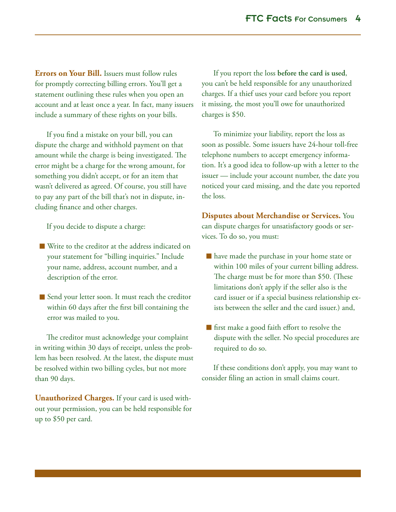**Errors on Your Bill.** Issuers must follow rules for promptly correcting billing errors. You'll get a statement outlining these rules when you open an account and at least once a year. In fact, many issuers include a summary of these rights on your bills.

If you find a mistake on your bill, you can dispute the charge and withhold payment on that amount while the charge is being investigated. The error might be a charge for the wrong amount, for something you didn't accept, or for an item that wasn't delivered as agreed. Of course, you still have to pay any part of the bill that's not in dispute, including finance and other charges.

If you decide to dispute a charge:

- Write to the creditor at the address indicated on your statement for "billing inquiries." Include your name, address, account number, and a description of the error.
- Send your letter soon. It must reach the creditor within 60 days after the first bill containing the error was mailed to you.

The creditor must acknowledge your complaint in writing within 30 days of receipt, unless the problem has been resolved. At the latest, the dispute must be resolved within two billing cycles, but not more than 90 days.

**Unauthorized Charges.** If your card is used without your permission, you can be held responsible for up to \$50 per card.

If you report the loss **before the card is used**, you can't be held responsible for any unauthorized charges. If a thief uses your card before you report it missing, the most you'll owe for unauthorized charges is \$50.

To minimize your liability, report the loss as soon as possible. Some issuers have 24-hour toll-free telephone numbers to accept emergency information. It's a good idea to follow-up with a letter to the issuer — include your account number, the date you noticed your card missing, and the date you reported the loss.

**Disputes about Merchandise or Services.** You can dispute charges for unsatisfactory goods or services. To do so, you must:

- have made the purchase in your home state or within 100 miles of your current billing address. The charge must be for more than \$50. (These limitations don't apply if the seller also is the card issuer or if a special business relationship exists between the seller and the card issuer.) and,
- **follow** first make a good faith effort to resolve the dispute with the seller. No special procedures are required to do so.

If these conditions don't apply, you may want to consider filing an action in small claims court.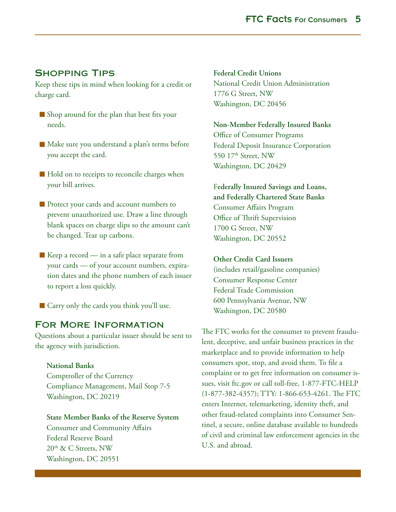# Shopping Tips

Keep these tips in mind when looking for a credit or charge card.

- Shop around for the plan that best fits your needs.
- Make sure you understand a plan's terms before you accept the card.
- Hold on to receipts to reconcile charges when your bill arrives.
- **Protect your cards and account numbers to** prevent unauthorized use. Draw a line through blank spaces on charge slips so the amount can't be changed. Tear up carbons.
- Keep a record in a safe place separate from your cards — of your account numbers, expiration dates and the phone numbers of each issuer to report a loss quickly.

■ Carry only the cards you think you'll use.

#### For More Information

Questions about a particular issuer should be sent to the agency with jurisdiction.

#### **National Banks**

Comptroller of the Currency Compliance Management, Mail Stop 7-5 Washington, DC 20219

#### **State Member Banks of the Reserve System**

Consumer and Community Affairs Federal Reserve Board  $20<sup>th</sup>$  & C Streets, NW Washington, DC 20551

#### **Federal Credit Unions**

National Credit Union Administration 1776 G Street, NW Washington, DC 20456

# **Non-Member Federally Insured Banks**

Office of Consumer Programs Federal Deposit Insurance Corporation 550 17<sup>th</sup> Street, NW Washington, DC 20429

# F**ederally Insured Savings and Loans, and Federally Chartered State Banks** Consumer Affairs Program Office of Thrift Supervision 1700 G Street, NW Washington, DC 20552

#### **Other Credit Card Issuers**

(includes retail/gasoline companies) Consumer Response Center Federal Trade Commission 600 Pennsylvania Avenue, NW Washington, DC 20580

The FTC works for the consumer to prevent fraudulent, deceptive, and unfair business practices in the marketplace and to provide information to help consumers spot, stop, and avoid them. To file a complaint or to get free information on consumer issues, visit ftc.gov or call toll-free, 1-877-FTC-HELP (1-877-382-4357); TTY: 1-866-653-4261. The FTC enters Internet, telemarketing, identity theft, and other fraud-related complaints into Consumer Sentinel, a secure, online database available to hundreds of civil and criminal law enforcement agencies in the U.S. and abroad.